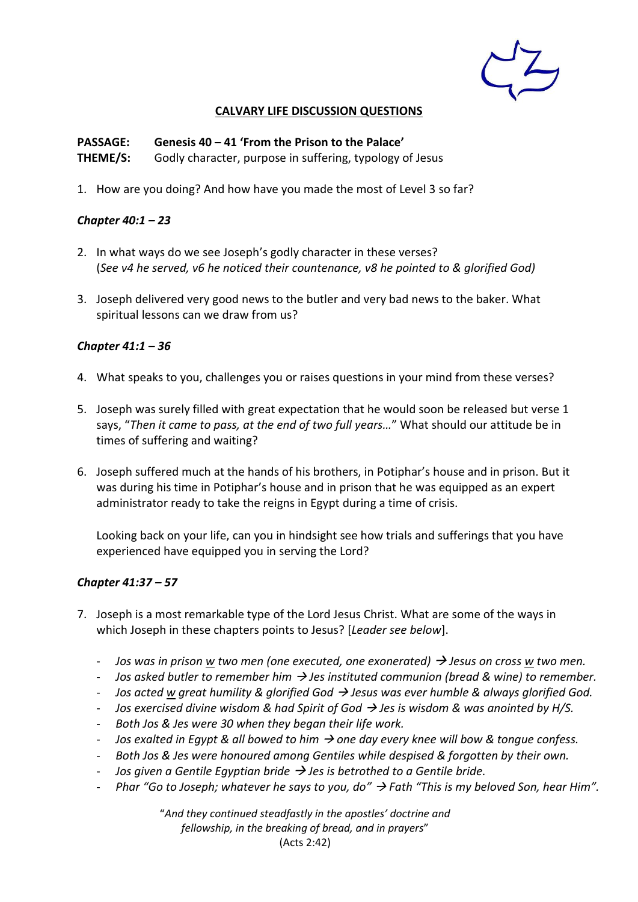

### **CALVARY LIFE DISCUSSION QUESTIONS**

**PASSAGE: Genesis 40 – 41 'From the Prison to the Palace' THEME/S:** Godly character, purpose in suffering, typology of Jesus

1. How are you doing? And how have you made the most of Level 3 so far?

### *Chapter 40:1 – 23*

- 2. In what ways do we see Joseph's godly character in these verses? (*See v4 he served, v6 he noticed their countenance, v8 he pointed to & glorified God)*
- 3. Joseph delivered very good news to the butler and very bad news to the baker. What spiritual lessons can we draw from us?

### *Chapter 41:1 – 36*

- 4. What speaks to you, challenges you or raises questions in your mind from these verses?
- 5. Joseph was surely filled with great expectation that he would soon be released but verse 1 says, "*Then it came to pass, at the end of two full years…*" What should our attitude be in times of suffering and waiting?
- 6. Joseph suffered much at the hands of his brothers, in Potiphar's house and in prison. But it was during his time in Potiphar's house and in prison that he was equipped as an expert administrator ready to take the reigns in Egypt during a time of crisis.

Looking back on your life, can you in hindsight see how trials and sufferings that you have experienced have equipped you in serving the Lord?

## *Chapter 41:37 – 57*

- 7. Joseph is a most remarkable type of the Lord Jesus Christ. What are some of the ways in which Joseph in these chapters points to Jesus? [*Leader see below*].
	- *Jos was in prison w two men (one executed, one exonerated)* → *Jesus on cross w two men.*
	- *Jos asked butler to remember him* <sup>→</sup> *Jes instituted communion (bread & wine) to remember.*
	- *Jos acted w great humility & glorified God* <sup>→</sup> *Jesus was ever humble & always glorified God.*
	- *Jos exercised divine wisdom & had Spirit of God* <sup>→</sup> *Jes is wisdom & was anointed by H/S.*
	- *Both Jos & Jes were 30 when they began their life work.*
	- *Jos exalted in Egypt & all bowed to him* <sup>→</sup> *one day every knee will bow & tongue confess.*
	- *Both Jos & Jes were honoured among Gentiles while despised & forgotten by their own.*
	- *Jos given a Gentile Egyptian bride* → *Jes is betrothed to a Gentile bride.*
	- *Phar "Go to Joseph; whatever he says to you, do"* <sup>→</sup> *Fath "This is my beloved Son, hear Him".*

"*And they continued steadfastly in the apostles' doctrine and fellowship, in the breaking of bread, and in prayers*" (Acts 2:42)